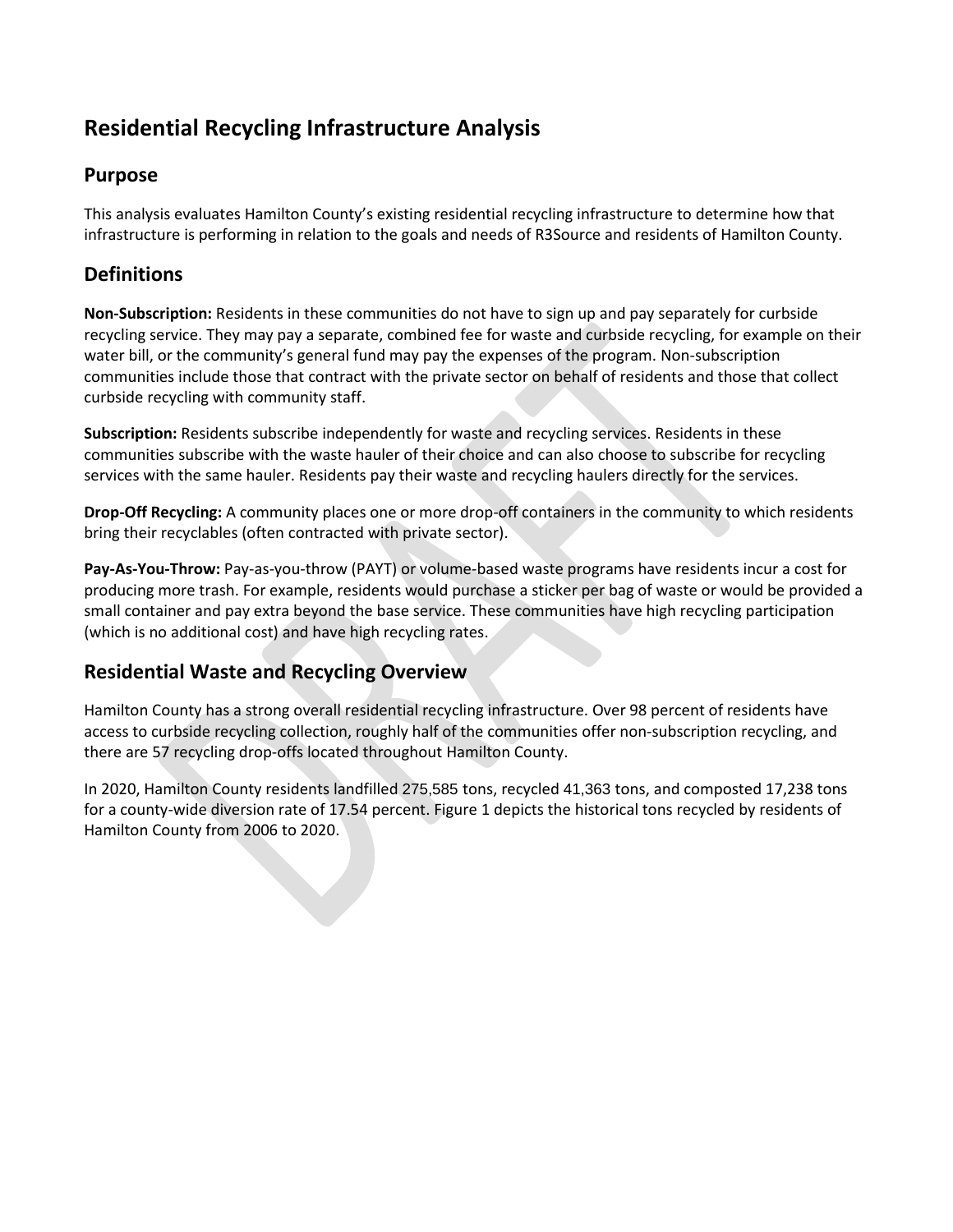# **Residential Recycling Infrastructure Analysis**

## **Purpose**

This analysis evaluates Hamilton County's existing residential recycling infrastructure to determine how that infrastructure is performing in relation to the goals and needs of R3Source and residents of Hamilton County.

## **Definitions**

**Non-Subscription:** Residents in these communities do not have to sign up and pay separately for curbside recycling service. They may pay a separate, combined fee for waste and curbside recycling, for example on their water bill, or the community's general fund may pay the expenses of the program. Non-subscription communities include those that contract with the private sector on behalf of residents and those that collect curbside recycling with community staff.

**Subscription:** Residents subscribe independently for waste and recycling services. Residents in these communities subscribe with the waste hauler of their choice and can also choose to subscribe for recycling services with the same hauler. Residents pay their waste and recycling haulers directly for the services.

**Drop-Off Recycling:** A community places one or more drop-off containers in the community to which residents bring their recyclables (often contracted with private sector).

**Pay-As-You-Throw:** Pay-as-you-throw (PAYT) or volume-based waste programs have residents incur a cost for producing more trash. For example, residents would purchase a sticker per bag of waste or would be provided a small container and pay extra beyond the base service. These communities have high recycling participation (which is no additional cost) and have high recycling rates.

## **Residential Waste and Recycling Overview**

Hamilton County has a strong overall residential recycling infrastructure. Over 98 percent of residents have access to curbside recycling collection, roughly half of the communities offer non-subscription recycling, and there are 57 recycling drop-offs located throughout Hamilton County.

In 2020, Hamilton County residents landfilled 275,585 tons, recycled 41,363 tons, and composted 17,238 tons for a county-wide diversion rate of 17.54 percent. Figure 1 depicts the historical tons recycled by residents of Hamilton County from 2006 to 2020.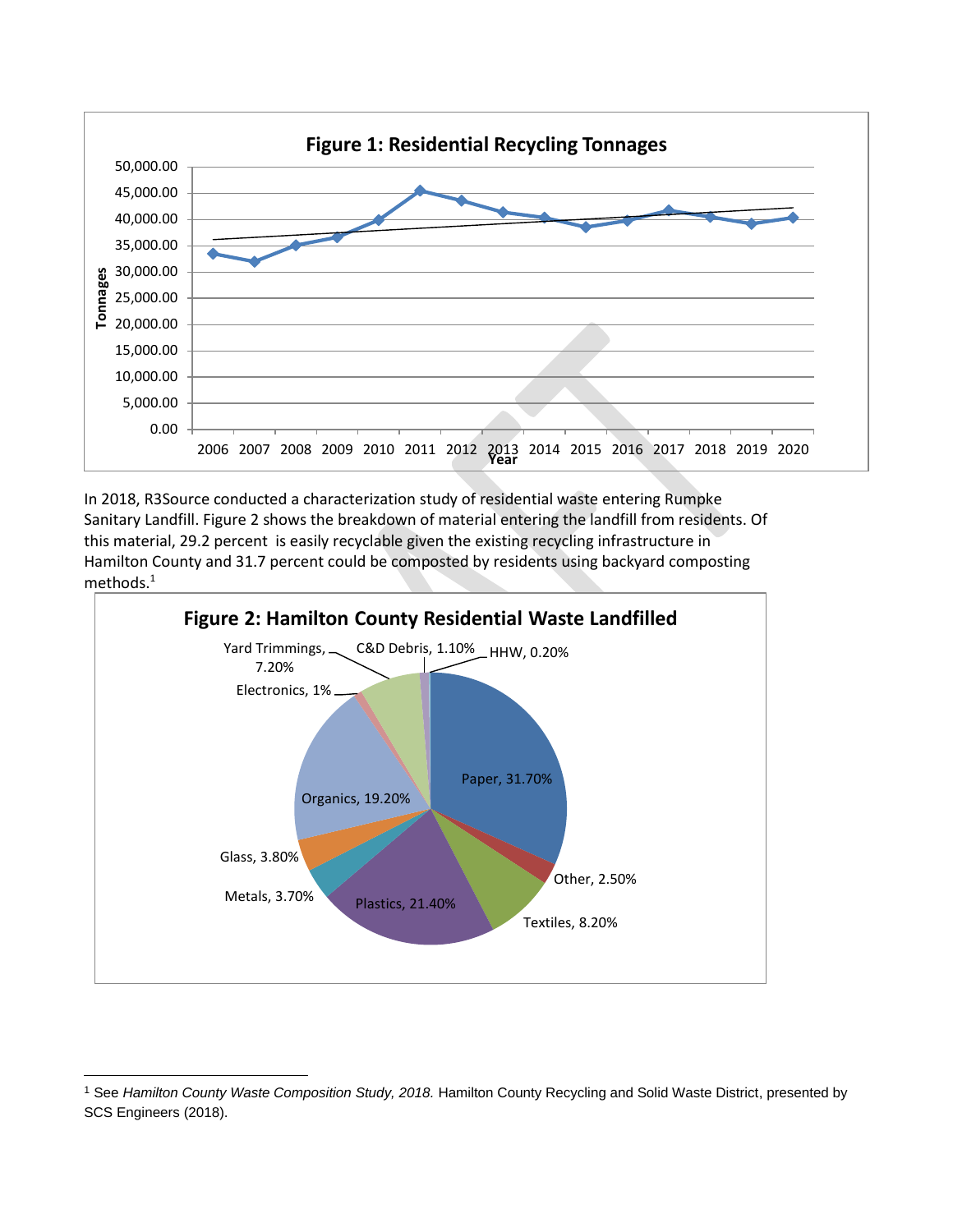

In 2018, R3Source conducted a characterization study of residential waste entering Rumpke Sanitary Landfill. Figure 2 shows the breakdown of material entering the landfill from residents. Of this material, 29.2 percent is easily recyclable given the existing recycling infrastructure in Hamilton County and 31.7 percent could be composted by residents using backyard composting methods.<sup>1</sup>



<sup>1</sup> See *Hamilton County Waste Composition Study, 2018.* Hamilton County Recycling and Solid Waste District, presented by SCS Engineers (2018).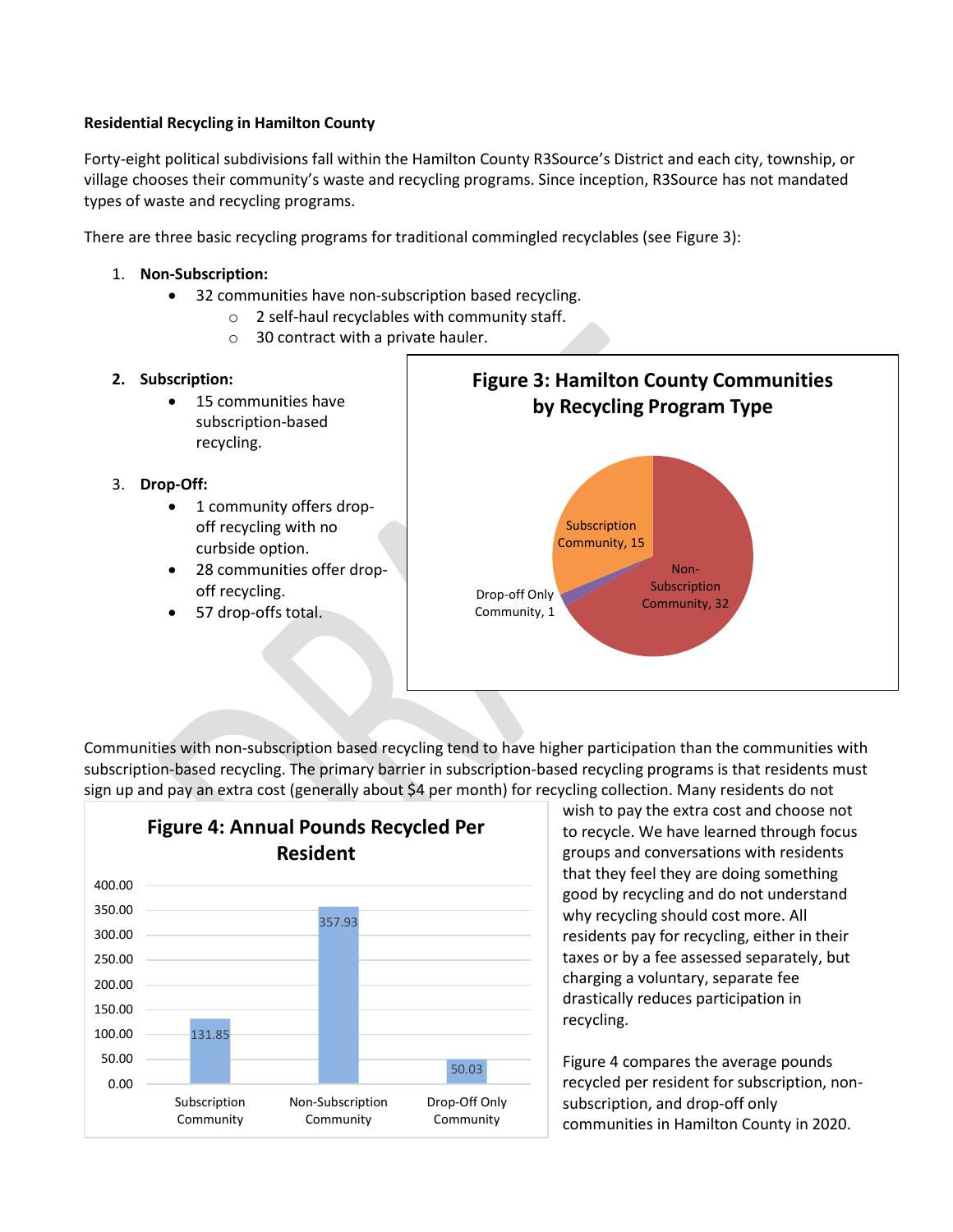#### **Residential Recycling in Hamilton County**

Forty-eight political subdivisions fall within the Hamilton County R3Source's District and each city, township, or village chooses their community's waste and recycling programs. Since inception, R3Source has not mandated types of waste and recycling programs.

There are three basic recycling programs for traditional commingled recyclables (see Figure 3):

- 1. **Non-Subscription:**
	- 32 communities have non-subscription based recycling.
		- o 2 self-haul recyclables with community staff.
		- o 30 contract with a private hauler.
- **2. Subscription:**
	- 15 communities have subscription-based recycling.
- 3. **Drop-Off:**
	- 1 community offers dropoff recycling with no curbside option.
	- 28 communities offer dropoff recycling.
	- 57 drop-offs total.



Communities with non-subscription based recycling tend to have higher participation than the communities with subscription-based recycling. The primary barrier in subscription-based recycling programs is that residents must sign up and pay an extra cost (generally about \$4 per month) for recycling collection. Many residents do not



wish to pay the extra cost and choose not to recycle. We have learned through focus groups and conversations with residents that they feel they are doing something good by recycling and do not understand why recycling should cost more. All residents pay for recycling, either in their taxes or by a fee assessed separately, but charging a voluntary, separate fee drastically reduces participation in recycling.

Figure 4 compares the average pounds recycled per resident for subscription, nonsubscription, and drop-off only communities in Hamilton County in 2020.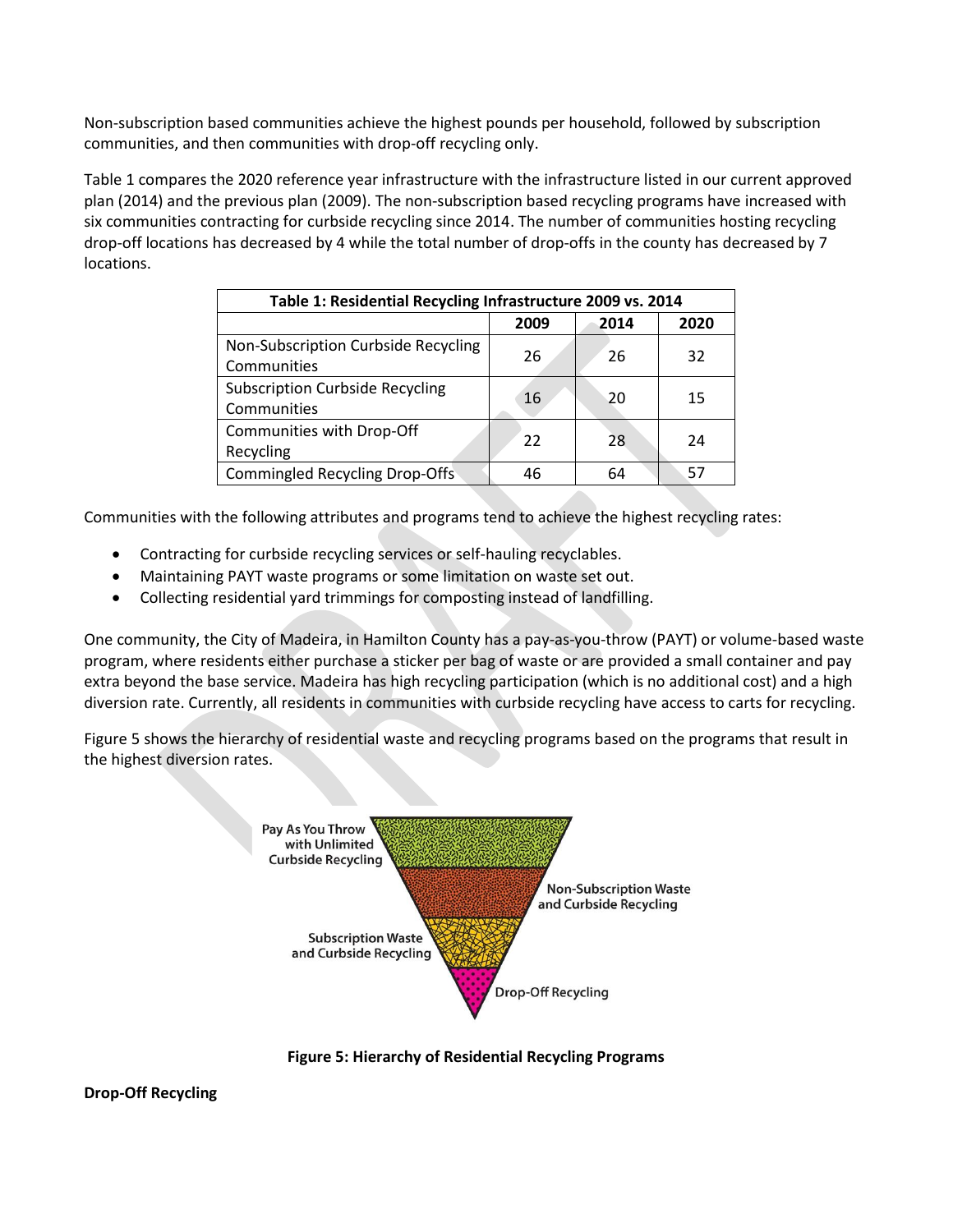Non-subscription based communities achieve the highest pounds per household, followed by subscription communities, and then communities with drop-off recycling only.

Table 1 compares the 2020 reference year infrastructure with the infrastructure listed in our current approved plan (2014) and the previous plan (2009). The non-subscription based recycling programs have increased with six communities contracting for curbside recycling since 2014. The number of communities hosting recycling drop-off locations has decreased by 4 while the total number of drop-offs in the county has decreased by 7 locations.

| Table 1: Residential Recycling Infrastructure 2009 vs. 2014 |      |      |      |  |
|-------------------------------------------------------------|------|------|------|--|
|                                                             | 2009 | 2014 | 2020 |  |
| Non-Subscription Curbside Recycling                         | 26   | 26   | 32   |  |
| Communities                                                 |      |      |      |  |
| <b>Subscription Curbside Recycling</b><br>16                |      | 20   | 15   |  |
| Communities                                                 |      |      |      |  |
| Communities with Drop-Off                                   | 22   | 28   | 24   |  |
| Recycling                                                   |      |      |      |  |
| <b>Commingled Recycling Drop-Offs</b>                       | 46   | 64   | 57   |  |

Communities with the following attributes and programs tend to achieve the highest recycling rates:

- Contracting for curbside recycling services or self-hauling recyclables.
- Maintaining PAYT waste programs or some limitation on waste set out.
- Collecting residential yard trimmings for composting instead of landfilling.

One community, the City of Madeira, in Hamilton County has a pay-as-you-throw (PAYT) or volume-based waste program, where residents either purchase a sticker per bag of waste or are provided a small container and pay extra beyond the base service. Madeira has high recycling participation (which is no additional cost) and a high diversion rate. Currently, all residents in communities with curbside recycling have access to carts for recycling.

Figure 5 shows the hierarchy of residential waste and recycling programs based on the programs that result in the highest diversion rates.



**Figure 5: Hierarchy of Residential Recycling Programs**

**Drop-Off Recycling**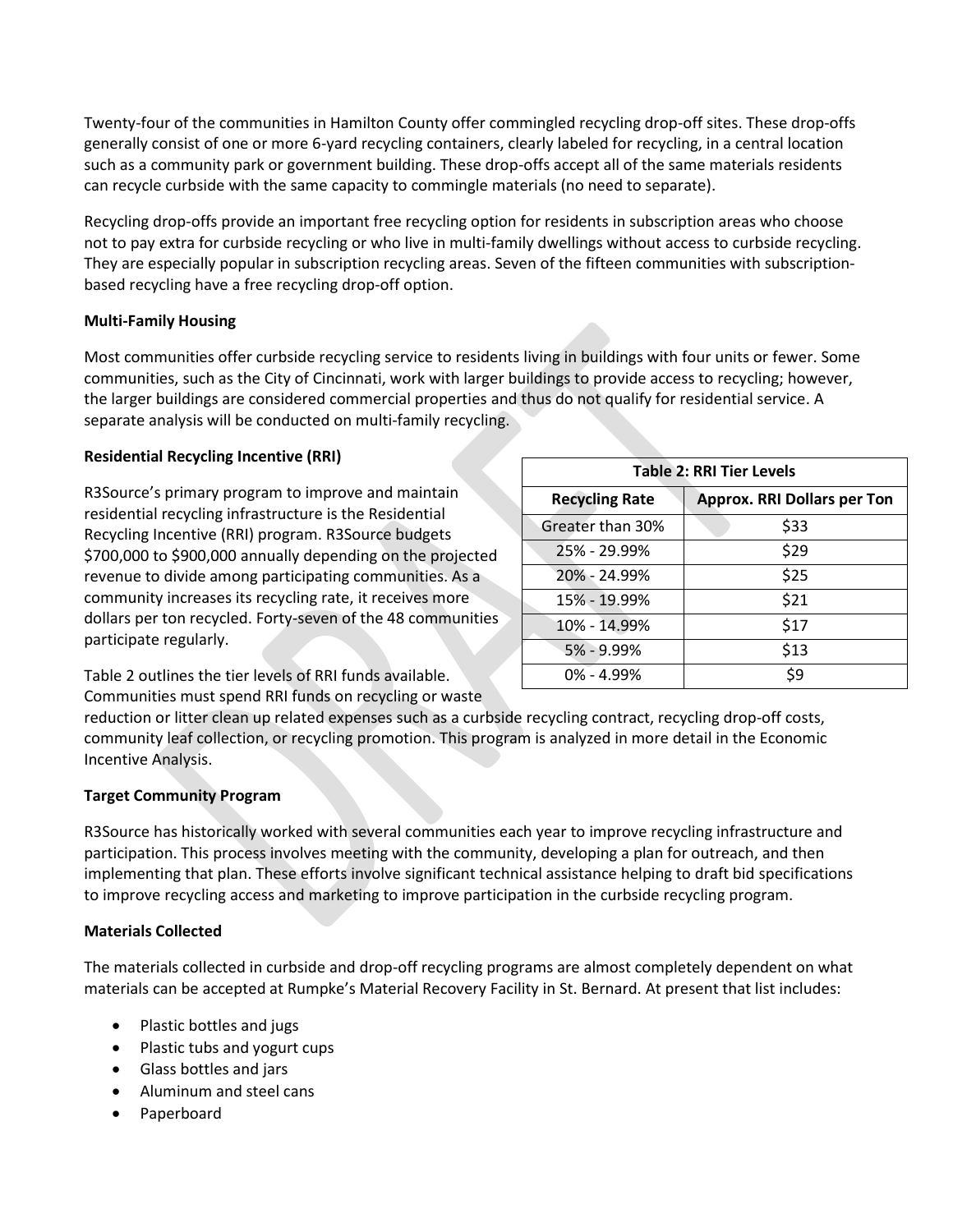Twenty-four of the communities in Hamilton County offer commingled recycling drop-off sites. These drop-offs generally consist of one or more 6-yard recycling containers, clearly labeled for recycling, in a central location such as a community park or government building. These drop-offs accept all of the same materials residents can recycle curbside with the same capacity to commingle materials (no need to separate).

Recycling drop-offs provide an important free recycling option for residents in subscription areas who choose not to pay extra for curbside recycling or who live in multi-family dwellings without access to curbside recycling. They are especially popular in subscription recycling areas. Seven of the fifteen communities with subscriptionbased recycling have a free recycling drop-off option.

#### **Multi-Family Housing**

Most communities offer curbside recycling service to residents living in buildings with four units or fewer. Some communities, such as the City of Cincinnati, work with larger buildings to provide access to recycling; however, the larger buildings are considered commercial properties and thus do not qualify for residential service. A separate analysis will be conducted on multi-family recycling.

#### **Residential Recycling Incentive (RRI)**

R3Source's primary program to improve and maintain residential recycling infrastructure is the Residential Recycling Incentive (RRI) program. R3Source budgets \$700,000 to \$900,000 annually depending on the projected revenue to divide among participating communities. As a community increases its recycling rate, it receives more dollars per ton recycled. Forty-seven of the 48 communities participate regularly.

| <b>Table 2: RRI Tier Levels</b> |                                    |  |  |
|---------------------------------|------------------------------------|--|--|
| <b>Recycling Rate</b>           | <b>Approx. RRI Dollars per Ton</b> |  |  |
| Greater than 30%                | \$33                               |  |  |
| 25% - 29.99%                    | \$29                               |  |  |
| 20% - 24.99%                    | \$25                               |  |  |
| 15% - 19.99%                    | \$21                               |  |  |
| 10% - 14.99%                    | \$17                               |  |  |
| 5% - 9.99%                      | \$13                               |  |  |
| $0\% - 4.99\%$                  | \$9                                |  |  |

Table 2 outlines the tier levels of RRI funds available. Communities must spend RRI funds on recycling or waste

reduction or litter clean up related expenses such as a curbside recycling contract, recycling drop-off costs, community leaf collection, or recycling promotion. This program is analyzed in more detail in the Economic Incentive Analysis.

#### **Target Community Program**

R3Source has historically worked with several communities each year to improve recycling infrastructure and participation. This process involves meeting with the community, developing a plan for outreach, and then implementing that plan. These efforts involve significant technical assistance helping to draft bid specifications to improve recycling access and marketing to improve participation in the curbside recycling program.

#### **Materials Collected**

The materials collected in curbside and drop-off recycling programs are almost completely dependent on what materials can be accepted at Rumpke's Material Recovery Facility in St. Bernard. At present that list includes:

- Plastic bottles and jugs
- Plastic tubs and yogurt cups
- Glass bottles and jars
- Aluminum and steel cans
- Paperboard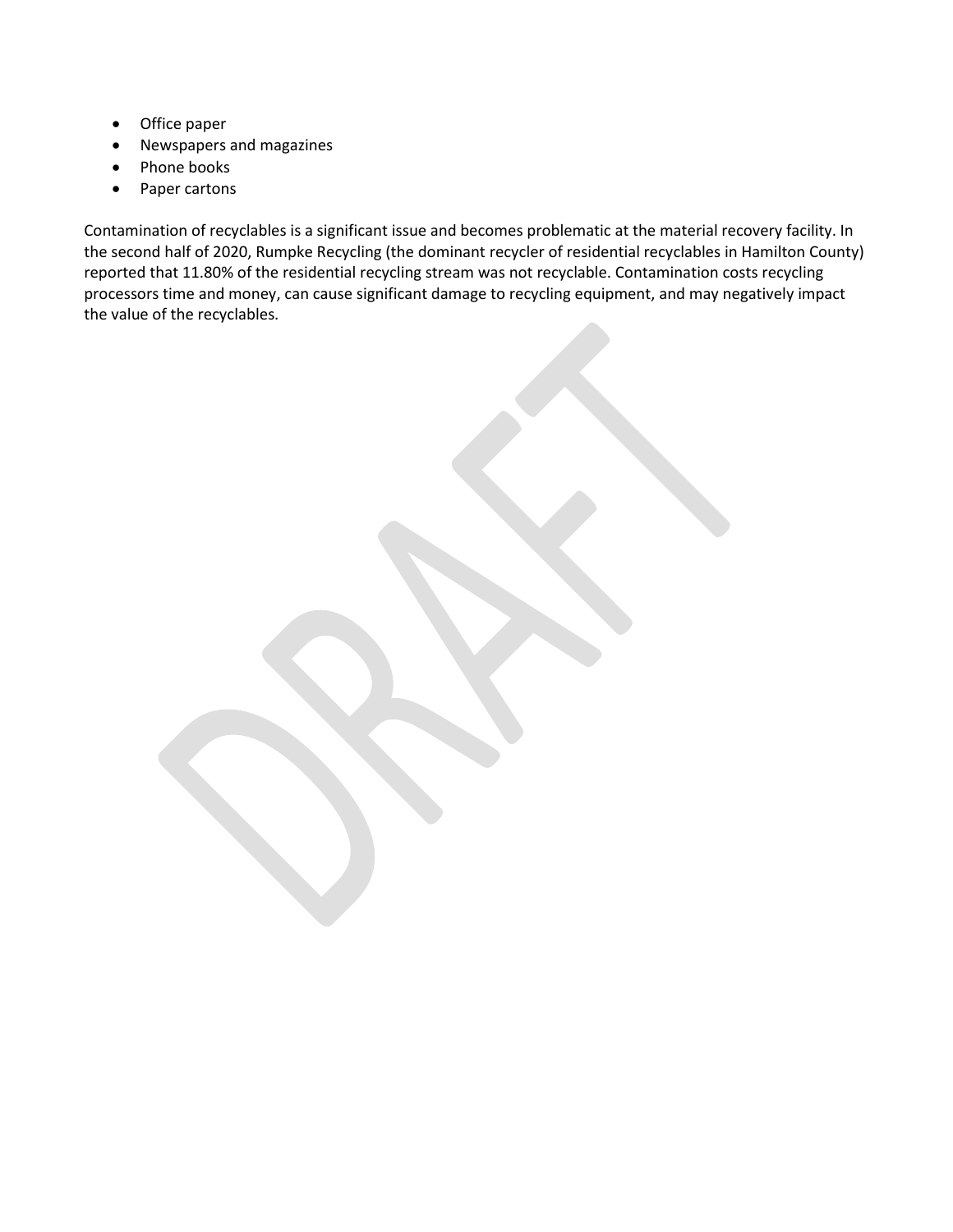- Office paper
- Newspapers and magazines
- Phone books
- Paper cartons

Contamination of recyclables is a significant issue and becomes problematic at the material recovery facility. In the second half of 2020, Rumpke Recycling (the dominant recycler of residential recyclables in Hamilton County) reported that 11.80% of the residential recycling stream was not recyclable. Contamination costs recycling processors time and money, can cause significant damage to recycling equipment, and may negatively impact the value of the recyclables.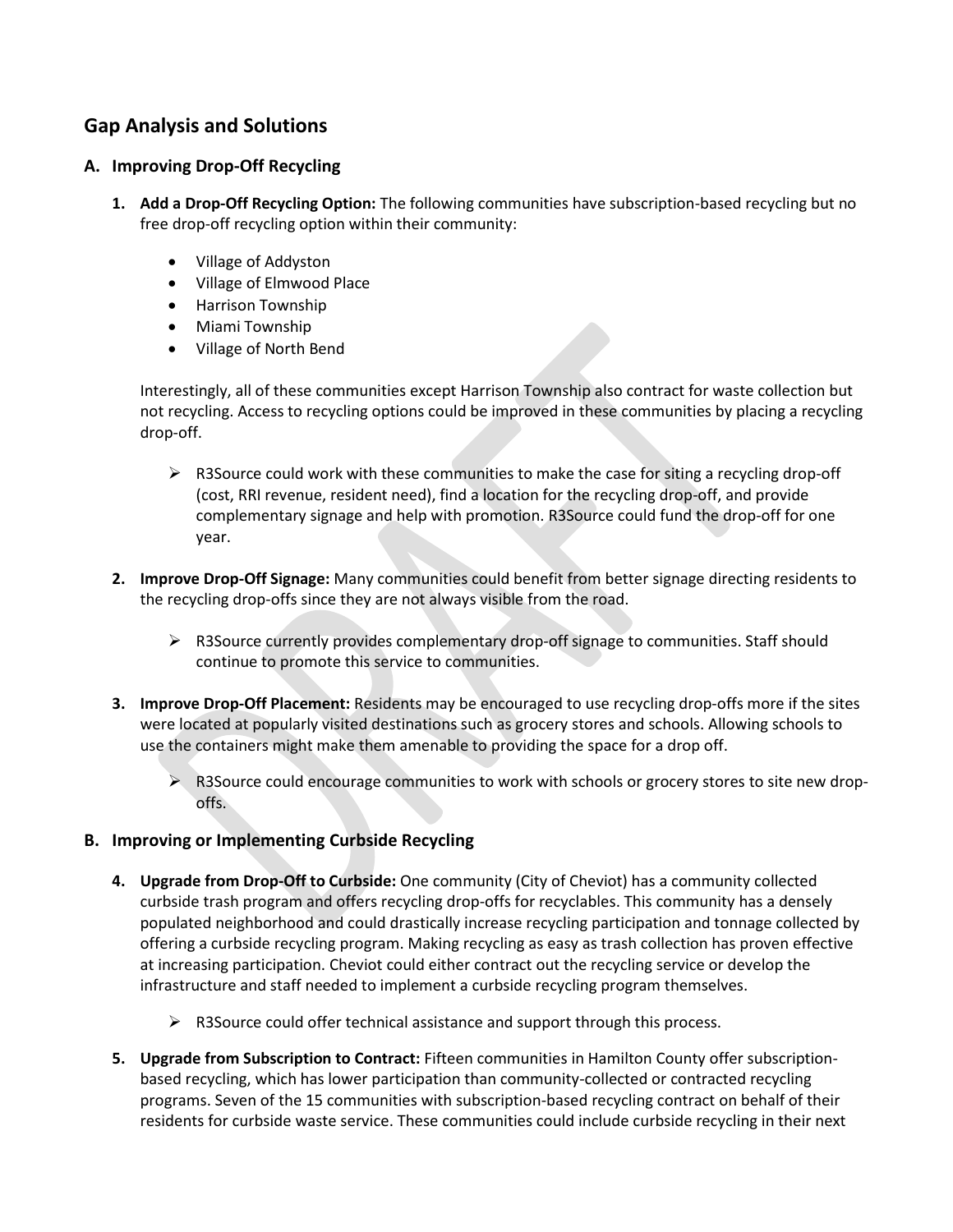## **Gap Analysis and Solutions**

### **A. Improving Drop-Off Recycling**

- **1. Add a Drop-Off Recycling Option:** The following communities have subscription-based recycling but no free drop-off recycling option within their community:
	- Village of Addyston
	- Village of Elmwood Place
	- Harrison Township
	- Miami Township
	- Village of North Bend

Interestingly, all of these communities except Harrison Township also contract for waste collection but not recycling. Access to recycling options could be improved in these communities by placing a recycling drop-off.

- $\triangleright$  R3Source could work with these communities to make the case for siting a recycling drop-off (cost, RRI revenue, resident need), find a location for the recycling drop-off, and provide complementary signage and help with promotion. R3Source could fund the drop-off for one year.
- **2. Improve Drop-Off Signage:** Many communities could benefit from better signage directing residents to the recycling drop-offs since they are not always visible from the road.
	- $\triangleright$  R3Source currently provides complementary drop-off signage to communities. Staff should continue to promote this service to communities.
- **3. Improve Drop-Off Placement:** Residents may be encouraged to use recycling drop-offs more if the sites were located at popularly visited destinations such as grocery stores and schools. Allowing schools to use the containers might make them amenable to providing the space for a drop off.
	- $\triangleright$  R3Source could encourage communities to work with schools or grocery stores to site new dropoffs.

#### **B. Improving or Implementing Curbside Recycling**

- **4. Upgrade from Drop-Off to Curbside:** One community (City of Cheviot) has a community collected curbside trash program and offers recycling drop-offs for recyclables. This community has a densely populated neighborhood and could drastically increase recycling participation and tonnage collected by offering a curbside recycling program. Making recycling as easy as trash collection has proven effective at increasing participation. Cheviot could either contract out the recycling service or develop the infrastructure and staff needed to implement a curbside recycling program themselves.
	- $\triangleright$  R3Source could offer technical assistance and support through this process.
- **5. Upgrade from Subscription to Contract:** Fifteen communities in Hamilton County offer subscriptionbased recycling, which has lower participation than community-collected or contracted recycling programs. Seven of the 15 communities with subscription-based recycling contract on behalf of their residents for curbside waste service. These communities could include curbside recycling in their next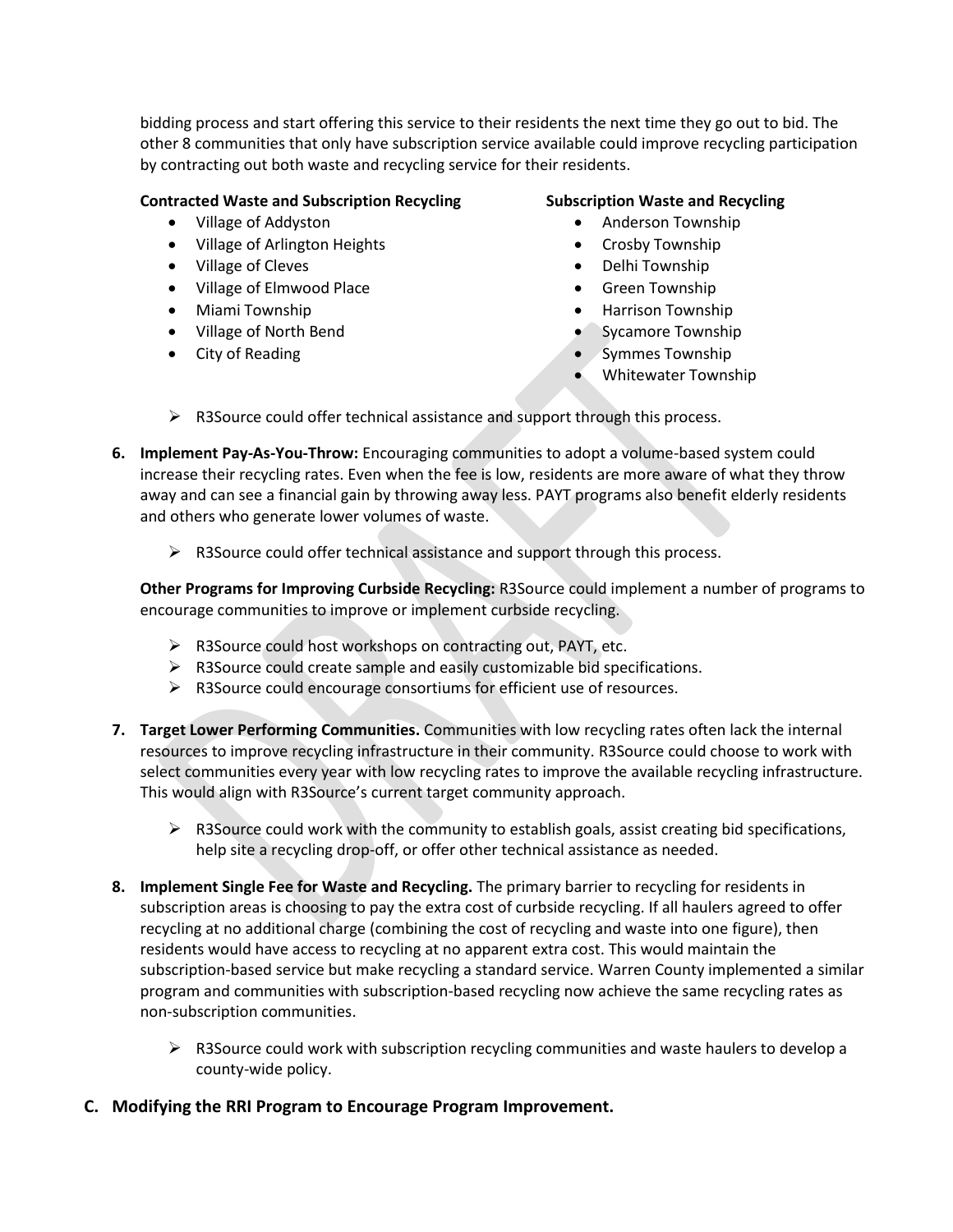bidding process and start offering this service to their residents the next time they go out to bid. The other 8 communities that only have subscription service available could improve recycling participation by contracting out both waste and recycling service for their residents.

#### **Contracted Waste and Subscription Recycling**

- Village of Addyston
- Village of Arlington Heights
- Village of Cleves
- Village of Elmwood Place
- Miami Township
- Village of North Bend
- City of Reading

### **Subscription Waste and Recycling**

- Anderson Township
- Crosby Township
- Delhi Township
- Green Township
- Harrison Township
- Sycamore Township
- Symmes Township
- Whitewater Township
- ➢ R3Source could offer technical assistance and support through this process.
- **6. Implement Pay-As-You-Throw:** Encouraging communities to adopt a volume-based system could increase their recycling rates. Even when the fee is low, residents are more aware of what they throw away and can see a financial gain by throwing away less. PAYT programs also benefit elderly residents and others who generate lower volumes of waste.
	- ➢ R3Source could offer technical assistance and support through this process.

**Other Programs for Improving Curbside Recycling:** R3Source could implement a number of programs to encourage communities to improve or implement curbside recycling.

- ➢ R3Source could host workshops on contracting out, PAYT, etc.
- $\triangleright$  R3Source could create sample and easily customizable bid specifications.
- ➢ R3Source could encourage consortiums for efficient use of resources.
- **7. Target Lower Performing Communities.** Communities with low recycling rates often lack the internal resources to improve recycling infrastructure in their community. R3Source could choose to work with select communities every year with low recycling rates to improve the available recycling infrastructure. This would align with R3Source's current target community approach.
	- $\triangleright$  R3Source could work with the community to establish goals, assist creating bid specifications, help site a recycling drop-off, or offer other technical assistance as needed.
- **8. Implement Single Fee for Waste and Recycling.** The primary barrier to recycling for residents in subscription areas is choosing to pay the extra cost of curbside recycling. If all haulers agreed to offer recycling at no additional charge (combining the cost of recycling and waste into one figure), then residents would have access to recycling at no apparent extra cost. This would maintain the subscription-based service but make recycling a standard service. Warren County implemented a similar program and communities with subscription-based recycling now achieve the same recycling rates as non-subscription communities.
	- $\triangleright$  R3Source could work with subscription recycling communities and waste haulers to develop a county-wide policy.
- **C. Modifying the RRI Program to Encourage Program Improvement.**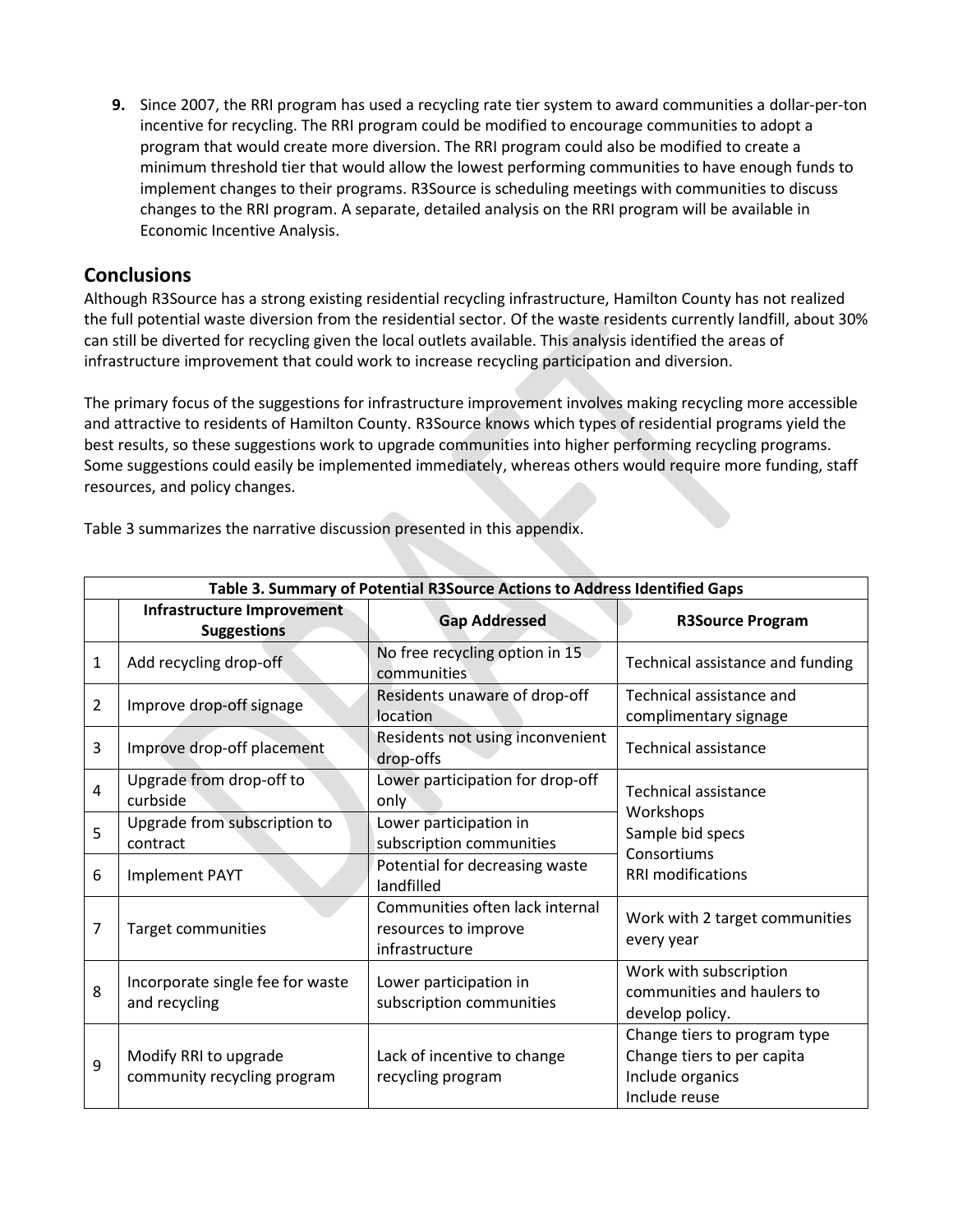**9.** Since 2007, the RRI program has used a recycling rate tier system to award communities a dollar-per-ton incentive for recycling. The RRI program could be modified to encourage communities to adopt a program that would create more diversion. The RRI program could also be modified to create a minimum threshold tier that would allow the lowest performing communities to have enough funds to implement changes to their programs. R3Source is scheduling meetings with communities to discuss changes to the RRI program. A separate, detailed analysis on the RRI program will be available in Economic Incentive Analysis.

### **Conclusions**

Although R3Source has a strong existing residential recycling infrastructure, Hamilton County has not realized the full potential waste diversion from the residential sector. Of the waste residents currently landfill, about 30% can still be diverted for recycling given the local outlets available. This analysis identified the areas of infrastructure improvement that could work to increase recycling participation and diversion.

The primary focus of the suggestions for infrastructure improvement involves making recycling more accessible and attractive to residents of Hamilton County. R3Source knows which types of residential programs yield the best results, so these suggestions work to upgrade communities into higher performing recycling programs. Some suggestions could easily be implemented immediately, whereas others would require more funding, staff resources, and policy changes.

| Table 3. Summary of Potential R3Source Actions to Address Identified Gaps |                                                         |                                                                           |                                                                                                         |  |
|---------------------------------------------------------------------------|---------------------------------------------------------|---------------------------------------------------------------------------|---------------------------------------------------------------------------------------------------------|--|
|                                                                           | <b>Infrastructure Improvement</b><br><b>Suggestions</b> | <b>Gap Addressed</b>                                                      | <b>R3Source Program</b>                                                                                 |  |
| $\mathbf{1}$                                                              | Add recycling drop-off                                  | No free recycling option in 15<br>communities                             | Technical assistance and funding                                                                        |  |
| $\overline{2}$                                                            | Improve drop-off signage                                | Residents unaware of drop-off<br>location                                 | Technical assistance and<br>complimentary signage                                                       |  |
| 3                                                                         | Improve drop-off placement                              | Residents not using inconvenient<br>drop-offs                             | Technical assistance                                                                                    |  |
| 4                                                                         | Upgrade from drop-off to<br>curbside                    | Lower participation for drop-off<br>only                                  | <b>Technical assistance</b><br>Workshops<br>Sample bid specs<br>Consortiums<br><b>RRI</b> modifications |  |
| 5                                                                         | Upgrade from subscription to<br>contract                | Lower participation in<br>subscription communities                        |                                                                                                         |  |
| 6                                                                         | <b>Implement PAYT</b>                                   | Potential for decreasing waste<br>landfilled                              |                                                                                                         |  |
| 7                                                                         | <b>Target communities</b>                               | Communities often lack internal<br>resources to improve<br>infrastructure | Work with 2 target communities<br>every year                                                            |  |
| 8                                                                         | Incorporate single fee for waste<br>and recycling       | Lower participation in<br>subscription communities                        | Work with subscription<br>communities and haulers to<br>develop policy.                                 |  |
| 9                                                                         | Modify RRI to upgrade<br>community recycling program    | Lack of incentive to change<br>recycling program                          | Change tiers to program type<br>Change tiers to per capita<br>Include organics<br>Include reuse         |  |

Table 3 summarizes the narrative discussion presented in this appendix.